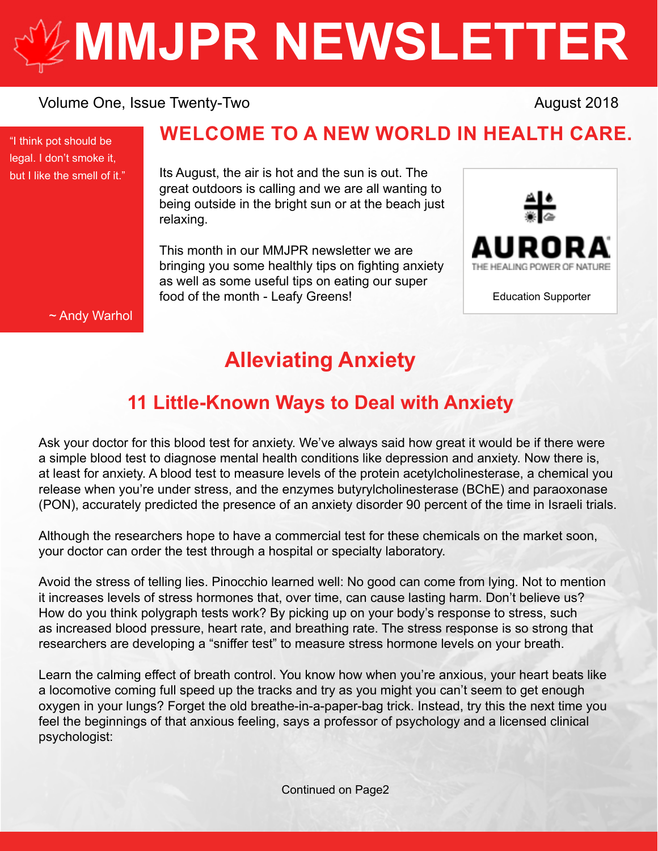# **[MMJPR NEWSLETTER](http://mmjpr.ca)**

#### Volume One, Issue Twenty-Two **August 2018** August 2018

"I think pot should be legal. I don't smoke it, but I like the smell of it."

### **WELCOME TO A NEW WORLD IN HEALTH CARE.**

Its August, the air is hot and the sun is out. The great outdoors is calling and we are all wanting to being outside in the bright sun or at the beach just relaxing.

This month in our MMJPR newsletter we are bringing you some healthly tips on fighting anxiety as well as some useful tips on eating our super food of the month - Leafy Greens!



Education Supporter

~ Andy Warhol

## **Alleviating Anxiety**

## **11 Little-Known Ways to Deal with Anxiety**

Ask your doctor for this blood test for anxiety. We've always said how great it would be if there were a simple blood test to diagnose mental health conditions like depression and anxiety. Now there is, at least for anxiety. A blood test to measure levels of the protein acetylcholinesterase, a chemical you release when you're under stress, and the enzymes butyrylcholinesterase (BChE) and paraoxonase (PON), accurately predicted the presence of an anxiety disorder 90 percent of the time in Israeli trials.

Although the researchers hope to have a commercial test for these chemicals on the market soon, your doctor can order the test through a hospital or specialty laboratory.

Avoid the stress of telling lies. Pinocchio learned well: No good can come from lying. Not to mention it increases levels of stress hormones that, over time, can cause lasting harm. Don't believe us? How do you think polygraph tests work? By picking up on your body's response to stress, such as increased blood pressure, heart rate, and breathing rate. The stress response is so strong that researchers are developing a "sniffer test" to measure stress hormone levels on your breath.

Learn the calming effect of breath control. You know how when you're anxious, your heart beats like a locomotive coming full speed up the tracks and try as you might you can't seem to get enough oxygen in your lungs? Forget the old breathe-in-a-paper-bag trick. Instead, try this the next time you feel the beginnings of that anxious feeling, says a professor of psychology and a licensed clinical psychologist: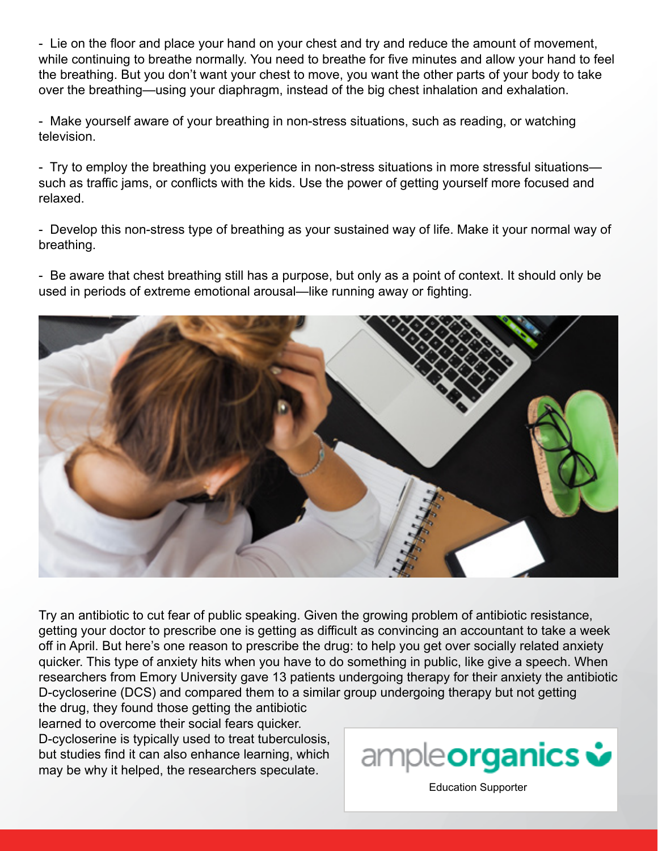- Lie on the floor and place your hand on your chest and try and reduce the amount of movement, while continuing to breathe normally. You need to breathe for five minutes and allow your hand to feel the breathing. But you don't want your chest to move, you want the other parts of your body to take over the breathing—using your diaphragm, instead of the big chest inhalation and exhalation.

- Make yourself aware of your breathing in non-stress situations, such as reading, or watching television.

- Try to employ the breathing you experience in non-stress situations in more stressful situations such as traffic jams, or conflicts with the kids. Use the power of getting yourself more focused and relaxed.

- Develop this non-stress type of breathing as your sustained way of life. Make it your normal way of breathing.

- Be aware that chest breathing still has a purpose, but only as a point of context. It should only be used in periods of extreme emotional arousal—like running away or fighting.



Try an antibiotic to cut fear of public speaking. Given the growing problem of antibiotic resistance, getting your doctor to prescribe one is getting as difficult as convincing an accountant to take a week off in April. But here's one reason to prescribe the drug: to help you get over socially related anxiety quicker. This type of anxiety hits when you have to do something in public, like give a speech. When researchers from Emory University gave 13 patients undergoing therapy for their anxiety the antibiotic D-cycloserine (DCS) and compared them to a similar group undergoing therapy but not getting the drug, they found those getting the antibiotic

learned to overcome their social fears quicker. D-cycloserine is typically used to treat tuberculosis, but studies find it can also enhance learning, which may be why it helped, the researchers speculate.



[Education Supporter](https://ampleorganics.com/)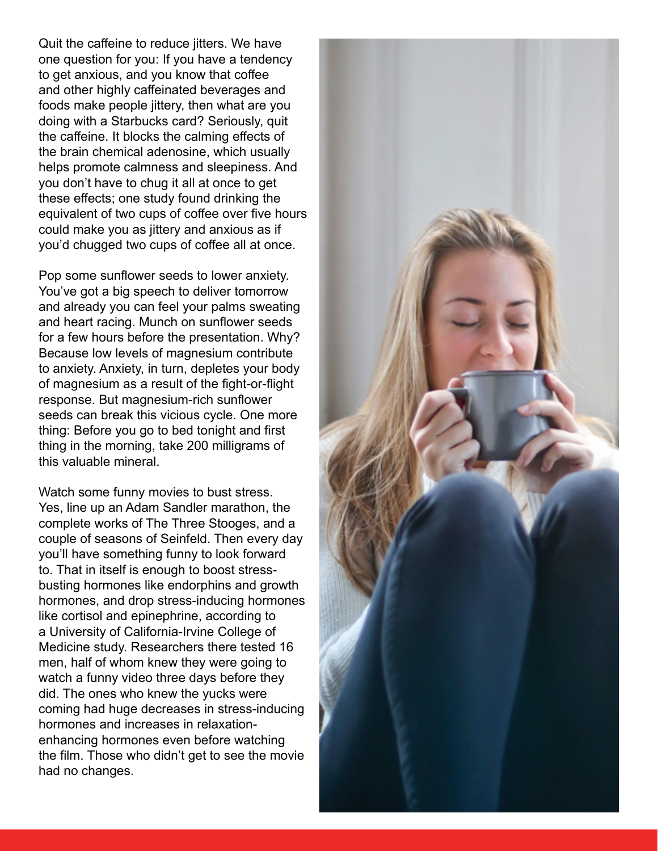Quit the caffeine to reduce jitters. We have one question for you: If you have a tendency to get anxious, and you know that coffee and other highly caffeinated beverages and foods make people jittery, then what are you doing with a Starbucks card? Seriously, quit the caffeine. It blocks the calming effects of the brain chemical adenosine, which usually helps promote calmness and sleepiness. And you don't have to chug it all at once to get these effects; one study found drinking the equivalent of two cups of coffee over five hours could make you as jittery and anxious as if you'd chugged two cups of coffee all at once.

Pop some sunflower seeds to lower anxiety. You've got a big speech to deliver tomorrow and already you can feel your palms sweating and heart racing. Munch on sunflower seeds for a few hours before the presentation. Why? Because low levels of magnesium contribute to anxiety. Anxiety, in turn, depletes your body of magnesium as a result of the fight-or-flight response. But magnesium-rich sunflower seeds can break this vicious cycle. One more thing: Before you go to bed tonight and first thing in the morning, take 200 milligrams of this valuable mineral.

Watch some funny movies to bust stress. Yes, line up an Adam Sandler marathon, the complete works of The Three Stooges, and a couple of seasons of Seinfeld. Then every day you'll have something funny to look forward to. That in itself is enough to boost stressbusting hormones like endorphins and growth hormones, and drop stress-inducing hormones like cortisol and epinephrine, according to a University of California-Irvine College of Medicine study. Researchers there tested 16 men, half of whom knew they were going to watch a funny video three days before they did. The ones who knew the yucks were coming had huge decreases in stress-inducing hormones and increases in relaxationenhancing hormones even before watching the film. Those who didn't get to see the movie had no changes.

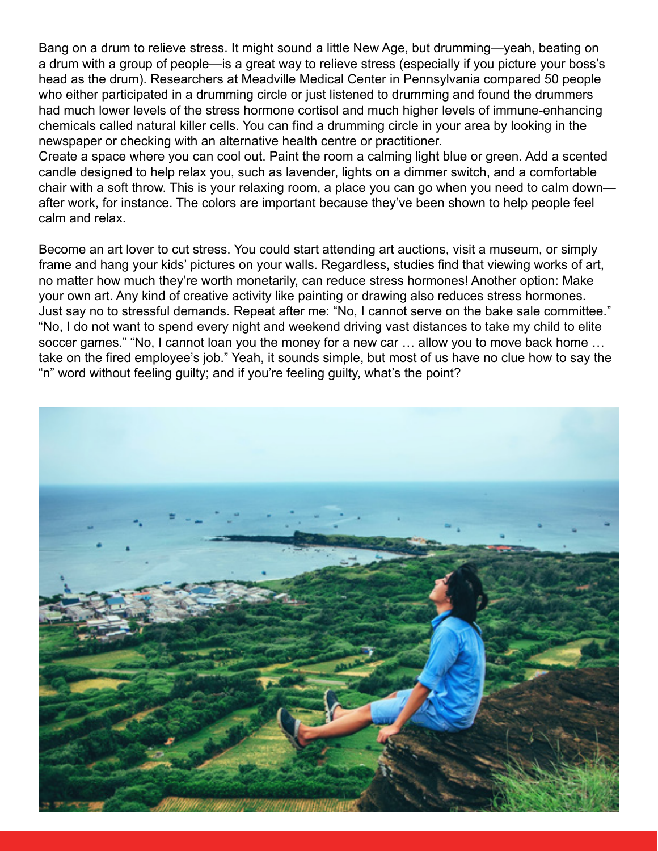Bang on a drum to relieve stress. It might sound a little New Age, but drumming—yeah, beating on a drum with a group of people—is a great way to relieve stress (especially if you picture your boss's head as the drum). Researchers at Meadville Medical Center in Pennsylvania compared 50 people who either participated in a drumming circle or just listened to drumming and found the drummers had much lower levels of the stress hormone cortisol and much higher levels of immune-enhancing chemicals called natural killer cells. You can find a drumming circle in your area by looking in the newspaper or checking with an alternative health centre or practitioner.

Create a space where you can cool out. Paint the room a calming light blue or green. Add a scented candle designed to help relax you, such as lavender, lights on a dimmer switch, and a comfortable chair with a soft throw. This is your relaxing room, a place you can go when you need to calm down after work, for instance. The colors are important because they've been shown to help people feel calm and relax.

Become an art lover to cut stress. You could start attending art auctions, visit a museum, or simply frame and hang your kids' pictures on your walls. Regardless, studies find that viewing works of art, no matter how much they're worth monetarily, can reduce stress hormones! Another option: Make your own art. Any kind of creative activity like painting or drawing also reduces stress hormones. Just say no to stressful demands. Repeat after me: "No, I cannot serve on the bake sale committee." "No, I do not want to spend every night and weekend driving vast distances to take my child to elite soccer games." "No, I cannot loan you the money for a new car ... allow you to move back home ... take on the fired employee's job." Yeah, it sounds simple, but most of us have no clue how to say the "n" word without feeling guilty; and if you're feeling guilty, what's the point?